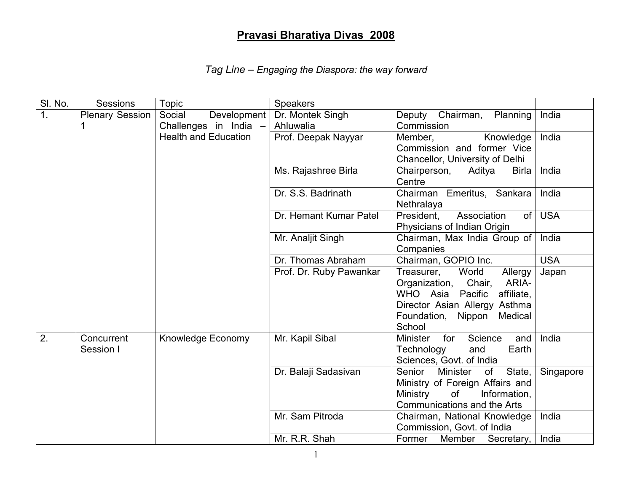## Pravasi Bharatiya Divas 2008

|  | Tag Line - Engaging the Diaspora: the way forward |  |
|--|---------------------------------------------------|--|
|  |                                                   |  |

| SI. No. | Sessions        | Topic                       | <b>Speakers</b>         |                                                                             |            |
|---------|-----------------|-----------------------------|-------------------------|-----------------------------------------------------------------------------|------------|
| 1.      | Plenary Session | Social<br>Development       | Dr. Montek Singh        | Chairman,<br>Deputy<br>Planning                                             | India      |
|         |                 | Challenges in India -       | Ahluwalia               | Commission                                                                  |            |
|         |                 | <b>Health and Education</b> | Prof. Deepak Nayyar     | Member,<br>Knowledge                                                        | India      |
|         |                 |                             |                         | Commission and former Vice                                                  |            |
|         |                 |                             |                         | Chancellor, University of Delhi                                             |            |
|         |                 |                             | Ms. Rajashree Birla     | Chairperson,<br>Aditya<br><b>Birla</b><br>Centre                            | India      |
|         |                 |                             | Dr. S.S. Badrinath      | Chairman Emeritus, Sankara                                                  | India      |
|         |                 |                             |                         | Nethralaya                                                                  |            |
|         |                 |                             | Dr. Hemant Kumar Patel  | President.<br>Association<br>of <sub>l</sub><br>Physicians of Indian Origin | <b>USA</b> |
|         |                 |                             | Mr. Analjit Singh       | Chairman, Max India Group of                                                | India      |
|         |                 |                             |                         | Companies                                                                   |            |
|         |                 |                             | Dr. Thomas Abraham      | Chairman, GOPIO Inc.                                                        | <b>USA</b> |
|         |                 |                             | Prof. Dr. Ruby Pawankar | World<br>Treasurer,<br>Allergy                                              | Japan      |
|         |                 |                             |                         | Organization, Chair,<br>ARIA-                                               |            |
|         |                 |                             |                         | WHO Asia Pacific<br>affiliate,                                              |            |
|         |                 |                             |                         | Director Asian Allergy Asthma<br>Foundation, Nippon<br>Medical              |            |
|         |                 |                             |                         | School                                                                      |            |
| 2.      | Concurrent      | Knowledge Economy           | Mr. Kapil Sibal         | <b>Minister</b><br>for<br>Science<br>and                                    | India      |
|         | Session I       |                             |                         | Technology<br>and<br>Earth                                                  |            |
|         |                 |                             |                         | Sciences, Govt. of India                                                    |            |
|         |                 |                             | Dr. Balaji Sadasivan    | State,<br>Senior<br><b>Minister</b><br>of                                   | Singapore  |
|         |                 |                             |                         | Ministry of Foreign Affairs and                                             |            |
|         |                 |                             |                         | <b>Ministry</b><br>of<br>Information,                                       |            |
|         |                 |                             |                         | <b>Communications and the Arts</b>                                          |            |
|         |                 |                             | Mr. Sam Pitroda         | Chairman, National Knowledge<br>Commission, Govt. of India                  | India      |
|         |                 |                             | Mr. R.R. Shah           | Former Member Secretary,                                                    | India      |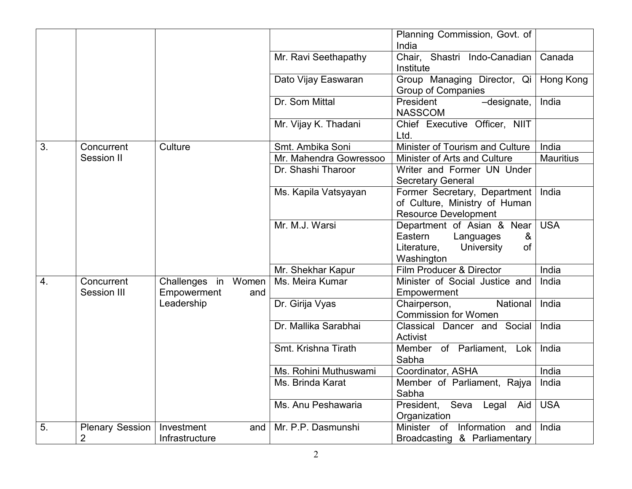|    |                           |                                           |                        | Planning Commission, Govt. of<br>India                                                                                 |                  |
|----|---------------------------|-------------------------------------------|------------------------|------------------------------------------------------------------------------------------------------------------------|------------------|
|    |                           |                                           | Mr. Ravi Seethapathy   | Chair, Shastri Indo-Canadian<br>Institute                                                                              | Canada           |
|    |                           |                                           | Dato Vijay Easwaran    | Group Managing Director, Qi<br><b>Group of Companies</b>                                                               | Hong Kong        |
|    |                           |                                           | Dr. Som Mittal         | President<br>-designate,<br><b>NASSCOM</b>                                                                             | India            |
|    |                           |                                           | Mr. Vijay K. Thadani   | Chief Executive Officer, NIIT<br>Ltd.                                                                                  |                  |
| 3. | Concurrent                | Culture                                   | Smt. Ambika Soni       | Minister of Tourism and Culture                                                                                        | India            |
|    | Session II                |                                           | Mr. Mahendra Gowressoo | Minister of Arts and Culture                                                                                           | <b>Mauritius</b> |
|    |                           |                                           | Dr. Shashi Tharoor     | Writer and Former UN Under<br><b>Secretary General</b>                                                                 |                  |
|    |                           |                                           | Ms. Kapila Vatsyayan   | Former Secretary, Department<br>of Culture, Ministry of Human<br><b>Resource Development</b>                           | India            |
|    |                           |                                           | Mr. M.J. Warsi         | Department of Asian & Near<br>Eastern<br>Languages<br>&<br>Literature,<br><b>of</b><br><b>University</b><br>Washington | <b>USA</b>       |
|    |                           |                                           | Mr. Shekhar Kapur      | Film Producer & Director                                                                                               | India            |
| 4. | Concurrent<br>Session III | Challenges in Women<br>Empowerment<br>and | Ms. Meira Kumar        | Minister of Social Justice and<br>Empowerment                                                                          | India            |
|    |                           | Leadership                                | Dr. Girija Vyas        | National<br>Chairperson,<br><b>Commission for Women</b>                                                                | India            |
|    |                           |                                           | Dr. Mallika Sarabhai   | Classical Dancer and Social<br>Activist                                                                                | India            |
|    |                           |                                           | Smt. Krishna Tirath    | Member of Parliament, Lok<br>Sabha                                                                                     | India            |
|    |                           |                                           | Ms. Rohini Muthuswami  | Coordinator, ASHA                                                                                                      | India            |
|    |                           |                                           | Ms. Brinda Karat       | Member of Parliament, Rajya<br>Sabha                                                                                   | India            |
|    |                           |                                           | Ms. Anu Peshawaria     | Seva Legal Aid<br>President,<br>Organization                                                                           | <b>USA</b>       |
| 5. | Plenary Session           | Investment<br>and                         | Mr. P.P. Dasmunshi     | Information<br>Minister of<br>and                                                                                      | India            |
|    | $\overline{2}$            | Infrastructure                            |                        | Broadcasting & Parliamentary                                                                                           |                  |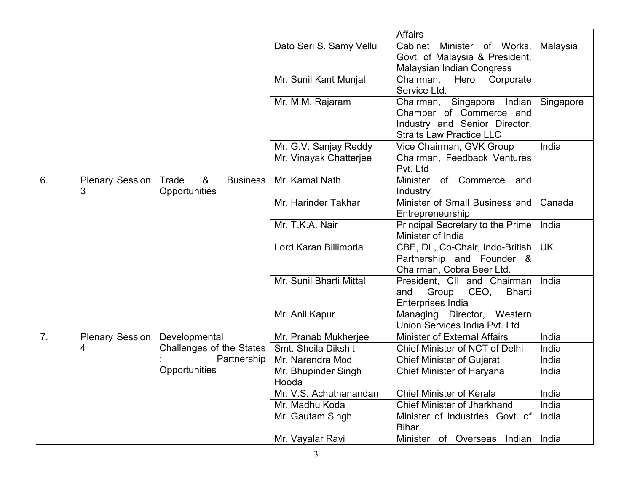|                |                        |                                            |                              | <b>Affairs</b>                                           |                |
|----------------|------------------------|--------------------------------------------|------------------------------|----------------------------------------------------------|----------------|
|                |                        |                                            | Dato Seri S. Samy Vellu      | Cabinet<br>Minister of Works,                            | Malaysia       |
|                |                        |                                            |                              | Govt. of Malaysia & President,                           |                |
|                |                        |                                            |                              | Malaysian Indian Congress                                |                |
|                |                        |                                            | Mr. Sunil Kant Munjal        | Hero Corporate<br>Chairman,                              |                |
|                |                        |                                            |                              | Service Ltd.                                             |                |
|                |                        |                                            | Mr. M.M. Rajaram             | Singapore<br>Indian<br>Chairman,                         | Singapore      |
|                |                        |                                            |                              | Chamber of Commerce and<br>Industry and Senior Director, |                |
|                |                        |                                            |                              | <b>Straits Law Practice LLC</b>                          |                |
|                |                        |                                            | Mr. G.V. Sanjay Reddy        | Vice Chairman, GVK Group                                 | India          |
|                |                        |                                            | Mr. Vinayak Chatterjee       | Chairman, Feedback Ventures                              |                |
|                |                        |                                            |                              | Pvt. Ltd                                                 |                |
| 6.             | <b>Plenary Session</b> | 8 <sub>o</sub><br>Trade<br><b>Business</b> | Mr. Kamal Nath               | Minister of Commerce and                                 |                |
|                | 3                      | Opportunities                              |                              | Industry                                                 |                |
|                |                        |                                            | Mr. Harinder Takhar          | Minister of Small Business and                           | Canada         |
|                |                        |                                            |                              | Entrepreneurship                                         |                |
|                |                        |                                            | Mr. T.K.A. Nair              | Principal Secretary to the Prime                         | India          |
|                |                        |                                            | Lord Karan Billimoria        | Minister of India<br>CBE, DL, Co-Chair, Indo-British     | <b>UK</b>      |
|                |                        |                                            |                              | Partnership and Founder &                                |                |
|                |                        |                                            |                              | Chairman, Cobra Beer Ltd.                                |                |
|                |                        |                                            | Mr. Sunil Bharti Mittal      | President, CII and Chairman                              | India          |
|                |                        |                                            |                              | Group<br>CEO,<br><b>Bharti</b><br>and                    |                |
|                |                        |                                            |                              | <b>Enterprises India</b>                                 |                |
|                |                        |                                            | Mr. Anil Kapur               | Managing Director, Western                               |                |
|                |                        |                                            |                              | Union Services India Pvt. Ltd                            |                |
| 7 <sub>1</sub> | Plenary Session        | Developmental                              | Mr. Pranab Mukherjee         | Minister of External Affairs                             | India          |
|                | 4                      | Challenges of the States<br>Partnership    | Smt. Sheila Dikshit          | Chief Minister of NCT of Delhi                           | India<br>India |
|                |                        | Opportunities                              | Mr. Narendra Modi            | <b>Chief Minister of Gujarat</b>                         | India          |
|                |                        |                                            | Mr. Bhupinder Singh<br>Hooda | Chief Minister of Haryana                                |                |
|                |                        |                                            | Mr. V.S. Achuthanandan       | <b>Chief Minister of Kerala</b>                          | India          |
|                |                        |                                            | Mr. Madhu Koda               | <b>Chief Minister of Jharkhand</b>                       | India          |
|                |                        |                                            | Mr. Gautam Singh             | Minister of Industries, Govt. of                         | India          |
|                |                        |                                            |                              | <b>Bihar</b>                                             |                |
|                |                        |                                            | Mr. Vayalar Ravi             | Minister of Overseas Indian                              | India          |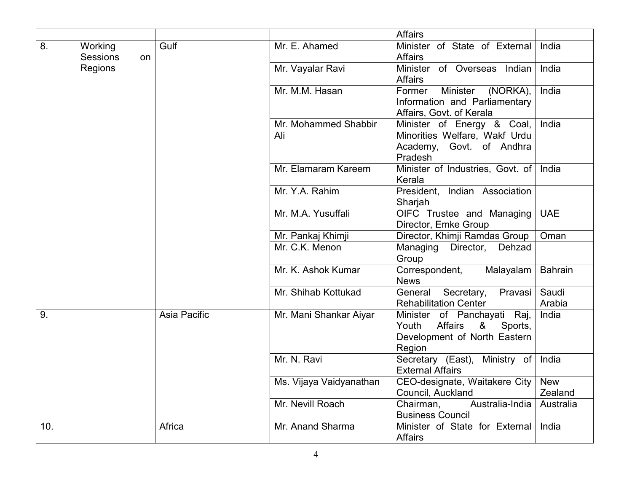|     |                                  |              |                             | <b>Affairs</b>                                                                                                      |                       |
|-----|----------------------------------|--------------|-----------------------------|---------------------------------------------------------------------------------------------------------------------|-----------------------|
| 8.  | Working<br><b>Sessions</b><br>on | Gulf         | Mr. E. Ahamed               | Minister of State of External<br><b>Affairs</b>                                                                     | India                 |
|     | Regions                          |              | Mr. Vayalar Ravi            | Minister<br>of Overseas Indian<br><b>Affairs</b>                                                                    | India                 |
|     |                                  |              | Mr. M.M. Hasan              | <b>Minister</b><br>Former<br>(NORKA),<br>Information and Parliamentary<br>Affairs, Govt. of Kerala                  | India                 |
|     |                                  |              | Mr. Mohammed Shabbir<br>Ali | Minister of Energy & Coal,<br>Minorities Welfare, Wakf Urdu<br>Academy, Govt. of Andhra<br>Pradesh                  | India                 |
|     |                                  |              | Mr. Elamaram Kareem         | Minister of Industries, Govt. of<br>Kerala                                                                          | India                 |
|     |                                  |              | Mr. Y.A. Rahim              | President, Indian Association<br>Sharjah                                                                            |                       |
|     |                                  |              | Mr. M.A. Yusuffali          | OIFC Trustee and Managing<br>Director, Emke Group                                                                   | <b>UAE</b>            |
|     |                                  |              | Mr. Pankaj Khimji           | Director, Khimji Ramdas Group                                                                                       | Oman                  |
|     |                                  |              | Mr. C.K. Menon              | Managing Director, Dehzad<br>Group                                                                                  |                       |
|     |                                  |              | Mr. K. Ashok Kumar          | Correspondent,<br>Malayalam<br><b>News</b>                                                                          | <b>Bahrain</b>        |
|     |                                  |              | Mr. Shihab Kottukad         | Pravasi<br>General<br>Secretary,<br><b>Rehabilitation Center</b>                                                    | Saudi<br>Arabia       |
| 9.  |                                  | Asia Pacific | Mr. Mani Shankar Aiyar      | of Panchayati Raj,<br>Minister<br><b>Affairs</b><br>Youth<br>&<br>Sports,<br>Development of North Eastern<br>Region | India                 |
|     |                                  |              | Mr. N. Ravi                 | Secretary (East), Ministry of<br><b>External Affairs</b>                                                            | India                 |
|     |                                  |              | Ms. Vijaya Vaidyanathan     | CEO-designate, Waitakere City<br>Council, Auckland                                                                  | <b>New</b><br>Zealand |
|     |                                  |              | Mr. Nevill Roach            | Australia-India<br>Chairman,<br><b>Business Council</b>                                                             | Australia             |
| 10. |                                  | Africa       | Mr. Anand Sharma            | Minister of State for External<br><b>Affairs</b>                                                                    | India                 |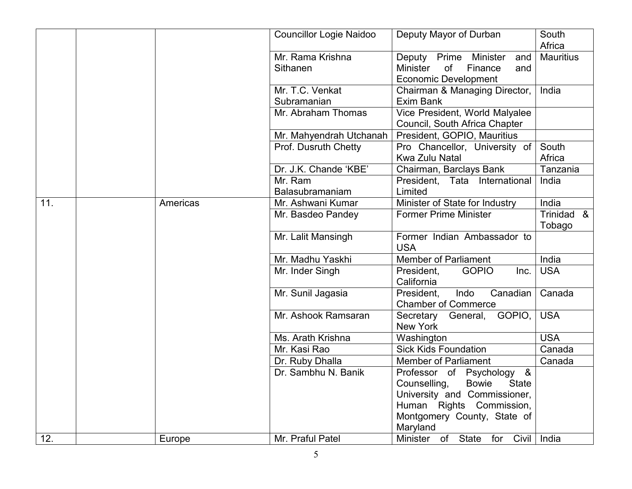|     |          | <b>Councillor Logie Naidoo</b> | Deputy Mayor of Durban                                                                                    | South<br>Africa      |
|-----|----------|--------------------------------|-----------------------------------------------------------------------------------------------------------|----------------------|
|     |          | Mr. Rama Krishna<br>Sithanen   | Prime Minister<br>Deputy<br>and<br><b>Minister</b><br>of<br>Finance<br>and<br><b>Economic Development</b> | <b>Mauritius</b>     |
|     |          | Mr. T.C. Venkat<br>Subramanian | Chairman & Managing Director,<br>Exim Bank                                                                | India                |
|     |          | Mr. Abraham Thomas             | Vice President, World Malyalee<br>Council, South Africa Chapter                                           |                      |
|     |          | Mr. Mahyendrah Utchanah        | President, GOPIO, Mauritius                                                                               |                      |
|     |          | Prof. Dusruth Chetty           | Pro Chancellor, University of<br>Kwa Zulu Natal                                                           | South<br>Africa      |
|     |          | Dr. J.K. Chande 'KBE'          | Chairman, Barclays Bank                                                                                   | Tanzania             |
|     |          | Mr. Ram                        | President, Tata International                                                                             | India                |
|     |          | Balasubramaniam                | Limited                                                                                                   |                      |
| 11. | Americas | Mr. Ashwani Kumar              | Minister of State for Industry                                                                            | India                |
|     |          | Mr. Basdeo Pandey              | <b>Former Prime Minister</b>                                                                              | Trinidad &<br>Tobago |
|     |          | Mr. Lalit Mansingh             | Former Indian Ambassador to<br><b>USA</b>                                                                 |                      |
|     |          | Mr. Madhu Yaskhi               | Member of Parliament                                                                                      | India                |
|     |          | Mr. Inder Singh                | President,<br><b>GOPIO</b><br>Inc.<br>California                                                          | <b>USA</b>           |
|     |          | Mr. Sunil Jagasia              | Indo<br>Canadian<br>President.<br><b>Chamber of Commerce</b>                                              | Canada               |
|     |          | Mr. Ashook Ramsaran            | Secretary General,<br>GOPIO,<br>New York                                                                  | <b>USA</b>           |
|     |          | Ms. Arath Krishna              | Washington                                                                                                | <b>USA</b>           |
|     |          | Mr. Kasi Rao                   | <b>Sick Kids Foundation</b>                                                                               | Canada               |
|     |          | Dr. Ruby Dhalla                | <b>Member of Parliament</b>                                                                               | Canada               |
|     |          | Dr. Sambhu N. Banik            | Professor of Psychology &                                                                                 |                      |
|     |          |                                | <b>Bowie</b><br>Counselling,<br><b>State</b>                                                              |                      |
|     |          |                                | University and Commissioner,<br>Human Rights Commission,                                                  |                      |
|     |          |                                | Montgomery County, State of                                                                               |                      |
|     |          |                                | Maryland                                                                                                  |                      |
| 12. | Europe   | Mr. Praful Patel               | Minister of State for Civil                                                                               | India                |